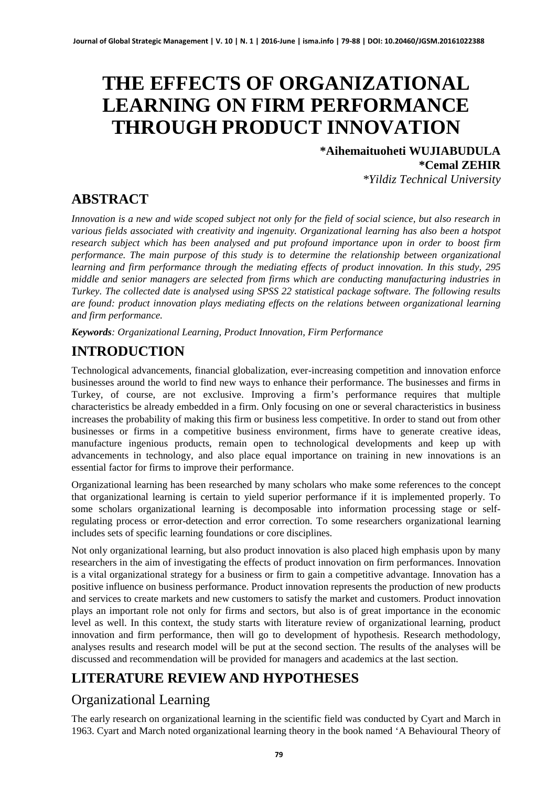# **THE EFFECTS OF ORGANIZATIONAL LEARNING ON FIRM PERFORMANCE THROUGH PRODUCT INNOVATION**

### **\*Aihemaituoheti WUJIABUDULA \*Cemal ZEHIR**

*\*Yildiz Technical University*

# **ABSTRACT**

*Innovation is a new and wide scoped subject not only for the field of social science, but also research in various fields associated with creativity and ingenuity. Organizational learning has also been a hotspot research subject which has been analysed and put profound importance upon in order to boost firm performance. The main purpose of this study is to determine the relationship between organizational learning and firm performance through the mediating effects of product innovation. In this study, 295 middle and senior managers are selected from firms which are conducting manufacturing industries in Turkey. The collected date is analysed using SPSS 22 statistical package software. The following results are found: product innovation plays mediating effects on the relations between organizational learning and firm performance.* 

*Keywords: Organizational Learning, Product Innovation, Firm Performance*

# **INTRODUCTION**

Technological advancements, financial globalization, ever-increasing competition and innovation enforce businesses around the world to find new ways to enhance their performance. The businesses and firms in Turkey, of course, are not exclusive. Improving a firm's performance requires that multiple characteristics be already embedded in a firm. Only focusing on one or several characteristics in business increases the probability of making this firm or business less competitive. In order to stand out from other businesses or firms in a competitive business environment, firms have to generate creative ideas, manufacture ingenious products, remain open to technological developments and keep up with advancements in technology, and also place equal importance on training in new innovations is an essential factor for firms to improve their performance.

Organizational learning has been researched by many scholars who make some references to the concept that organizational learning is certain to yield superior performance if it is implemented properly. To some scholars organizational learning is decomposable into information processing stage or selfregulating process or error-detection and error correction. To some researchers organizational learning includes sets of specific learning foundations or core disciplines.

Not only organizational learning, but also product innovation is also placed high emphasis upon by many researchers in the aim of investigating the effects of product innovation on firm performances. Innovation is a vital organizational strategy for a business or firm to gain a competitive advantage. Innovation has a positive influence on business performance. Product innovation represents the production of new products and services to create markets and new customers to satisfy the market and customers. Product innovation plays an important role not only for firms and sectors, but also is of great importance in the economic level as well. In this context, the study starts with literature review of organizational learning, product innovation and firm performance, then will go to development of hypothesis. Research methodology, analyses results and research model will be put at the second section. The results of the analyses will be discussed and recommendation will be provided for managers and academics at the last section.

# **LITERATURE REVIEW AND HYPOTHESES**

# Organizational Learning

The early research on organizational learning in the scientific field was conducted by Cyart and March in 1963. Cyart and March noted organizational learning theory in the book named 'A Behavioural Theory of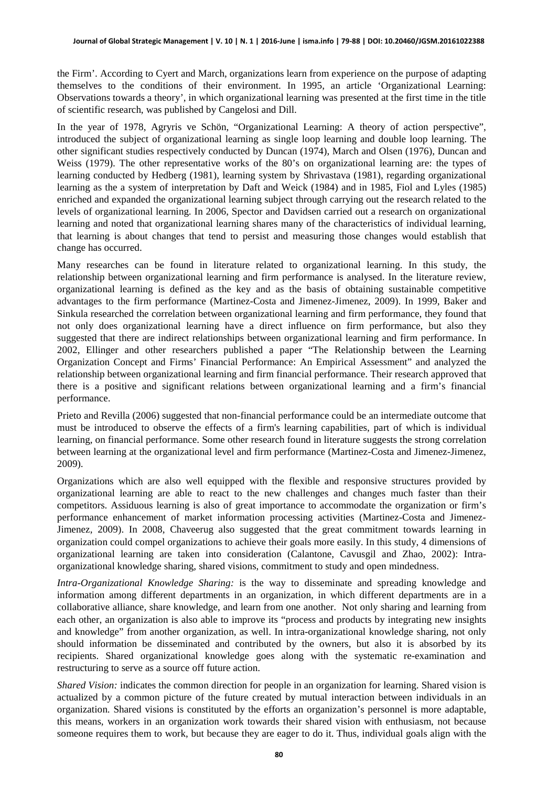the Firm'. According to Cyert and March, organizations learn from experience on the purpose of adapting themselves to the conditions of their environment. In 1995, an article 'Organizational Learning: Observations towards a theory', in which organizational learning was presented at the first time in the title of scientific research, was published by Cangelosi and Dill.

In the year of 1978, Agryris ve Schön, "Organizational Learning: A theory of action perspective", introduced the subject of organizational learning as single loop learning and double loop learning. The other significant studies respectively conducted by Duncan (1974), March and Olsen (1976), Duncan and Weiss (1979). The other representative works of the 80's on organizational learning are: the types of learning conducted by Hedberg (1981), learning system by Shrivastava (1981), regarding organizational learning as the a system of interpretation by Daft and Weick (1984) and in 1985, Fiol and Lyles (1985) enriched and expanded the organizational learning subject through carrying out the research related to the levels of organizational learning. In 2006, Spector and Davidsen carried out a research on organizational learning and noted that organizational learning shares many of the characteristics of individual learning, that learning is about changes that tend to persist and measuring those changes would establish that change has occurred.

Many researches can be found in literature related to organizational learning. In this study, the relationship between organizational learning and firm performance is analysed. In the literature review, organizational learning is defined as the key and as the basis of obtaining sustainable competitive advantages to the firm performance (Martinez-Costa and Jimenez-Jimenez, 2009). In 1999, Baker and Sinkula researched the correlation between organizational learning and firm performance, they found that not only does organizational learning have a direct influence on firm performance, but also they suggested that there are indirect relationships between organizational learning and firm performance. In 2002, Ellinger and other researchers published a paper "The Relationship between the Learning Organization Concept and Firms' Financial Performance: An Empirical Assessment" and analyzed the relationship between organizational learning and firm financial performance. Their research approved that there is a positive and significant relations between organizational learning and a firm's financial performance.

Prieto and Revilla (2006) suggested that non-financial performance could be an intermediate outcome that must be introduced to observe the effects of a firm's learning capabilities, part of which is individual learning, on financial performance. Some other research found in literature suggests the strong correlation between learning at the organizational level and firm performance (Martinez-Costa and Jimenez-Jimenez, 2009).

Organizations which are also well equipped with the flexible and responsive structures provided by organizational learning are able to react to the new challenges and changes much faster than their competitors. Assiduous learning is also of great importance to accommodate the organization or firm's performance enhancement of market information processing activities (Martinez-Costa and Jimenez-Jimenez, 2009). In 2008, Chaveerug also suggested that the great commitment towards learning in organization could compel organizations to achieve their goals more easily. In this study, 4 dimensions of organizational learning are taken into consideration (Calantone, Cavusgil and Zhao, 2002): Intraorganizational knowledge sharing, shared visions, commitment to study and open mindedness.

*Intra-Organizational Knowledge Sharing:* is the way to disseminate and spreading knowledge and information among different departments in an organization, in which different departments are in a collaborative alliance, share knowledge, and learn from one another. Not only sharing and learning from each other, an organization is also able to improve its "process and products by integrating new insights and knowledge" from another organization, as well. In intra-organizational knowledge sharing, not only should information be disseminated and contributed by the owners, but also it is absorbed by its recipients. Shared organizational knowledge goes along with the systematic re-examination and restructuring to serve as a source off future action.

*Shared Vision:* indicates the common direction for people in an organization for learning. Shared vision is actualized by a common picture of the future created by mutual interaction between individuals in an organization. Shared visions is constituted by the efforts an organization's personnel is more adaptable, this means, workers in an organization work towards their shared vision with enthusiasm, not because someone requires them to work, but because they are eager to do it. Thus, individual goals align with the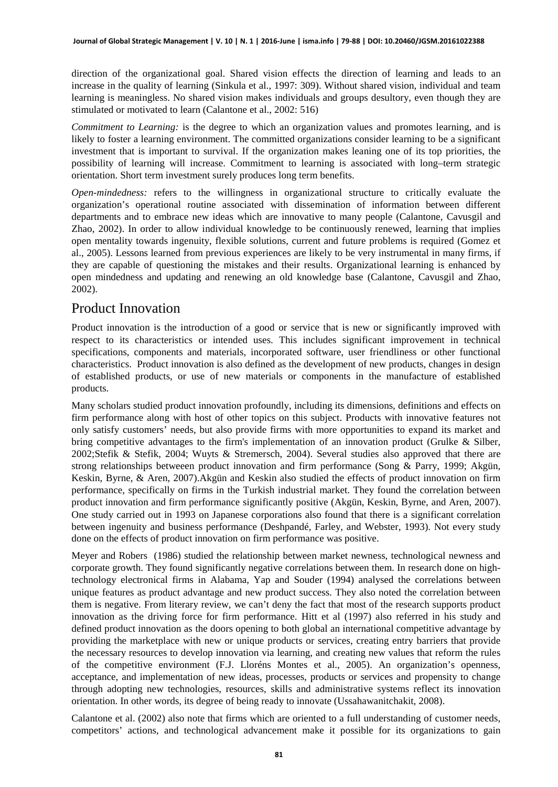direction of the organizational goal. Shared vision effects the direction of learning and leads to an increase in the quality of learning (Sinkula et al., 1997: 309). Without shared vision, individual and team learning is meaningless. No shared vision makes individuals and groups desultory, even though they are stimulated or motivated to learn (Calantone et al., 2002: 516)

*Commitment to Learning:* is the degree to which an organization values and promotes learning, and is likely to foster a learning environment. The committed organizations consider learning to be a significant investment that is important to survival. If the organization makes leaning one of its top priorities, the possibility of learning will increase. Commitment to learning is associated with long–term strategic orientation. Short term investment surely produces long term benefits.

*Open-mindedness:* refers to the willingness in organizational structure to critically evaluate the organization's operational routine associated with dissemination of information between different departments and to embrace new ideas which are innovative to many people (Calantone, Cavusgil and Zhao, 2002). In order to allow individual knowledge to be continuously renewed, learning that implies open mentality towards ingenuity, flexible solutions, current and future problems is required (Gomez et al., 2005). Lessons learned from previous experiences are likely to be very instrumental in many firms, if they are capable of questioning the mistakes and their results. Organizational learning is enhanced by open mindedness and updating and renewing an old knowledge base (Calantone, Cavusgil and Zhao, 2002).

### Product Innovation

Product innovation is the introduction of a good or service that is new or significantly improved with respect to its characteristics or intended uses. This includes significant improvement in technical specifications, components and materials, incorporated software, user friendliness or other functional characteristics. Product innovation is also defined as the development of new products, changes in design of established products, or use of new materials or components in the manufacture of established products.

Many scholars studied product innovation profoundly, including its dimensions, definitions and effects on firm performance along with host of other topics on this subject. Products with innovative features not only satisfy customers' needs, but also provide firms with more opportunities to expand its market and bring competitive advantages to the firm's implementation of an innovation product (Grulke & Silber, 2002;Stefik & Stefik, 2004; Wuyts & Stremersch, 2004). Several studies also approved that there are strong relationships betweeen product innovation and firm performance (Song & Parry, 1999; Akgün, Keskin, Byrne, & Aren, 2007).Akgün and Keskin also studied the effects of product innovation on firm performance, specifically on firms in the Turkish industrial market. They found the correlation between product innovation and firm performance significantly positive (Akgün, Keskin, Byrne, and Aren, 2007). One study carried out in 1993 on Japanese corporations also found that there is a significant correlation between ingenuity and business performance (Deshpandé, Farley, and Webster, 1993). Not every study done on the effects of product innovation on firm performance was positive.

Meyer and Robers (1986) studied the relationship between market newness, technological newness and corporate growth. They found significantly negative correlations between them. In research done on hightechnology electronical firms in Alabama, Yap and Souder (1994) analysed the correlations between unique features as product advantage and new product success. They also noted the correlation between them is negative. From literary review, we can't deny the fact that most of the research supports product innovation as the driving force for firm performance. Hitt et al (1997) also referred in his study and defined product innovation as the doors opening to both global an international competitive advantage by providing the marketplace with new or unique products or services, creating entry barriers that provide the necessary resources to develop innovation via learning, and creating new values that reform the rules of the competitive environment (F.J. Lloréns Montes et al., 2005). An organization's openness, acceptance, and implementation of new ideas, processes, products or services and propensity to change through adopting new technologies, resources, skills and administrative systems reflect its innovation orientation. In other words, its degree of being ready to innovate (Ussahawanitchakit, 2008).

Calantone et al. (2002) also note that firms which are oriented to a full understanding of customer needs, competitors' actions, and technological advancement make it possible for its organizations to gain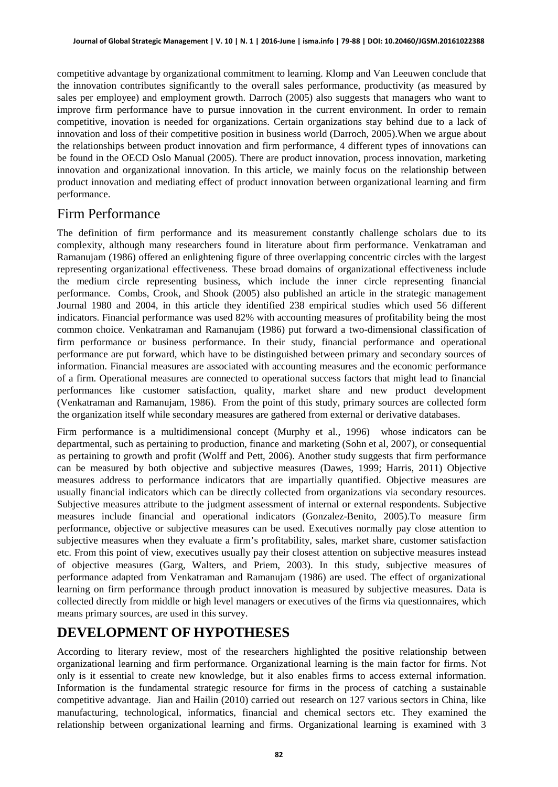competitive advantage by organizational commitment to learning. Klomp and Van Leeuwen conclude that the innovation contributes significantly to the overall sales performance, productivity (as measured by sales per employee) and employment growth. Darroch (2005) also suggests that managers who want to improve firm performance have to pursue innovation in the current environment. In order to remain competitive, inovation is needed for organizations. Certain organizations stay behind due to a lack of innovation and loss of their competitive position in business world (Darroch, 2005).When we argue about the relationships between product innovation and firm performance, 4 different types of innovations can be found in the OECD Oslo Manual (2005). There are product innovation, process innovation, marketing innovation and organizational innovation. In this article, we mainly focus on the relationship between product innovation and mediating effect of product innovation between organizational learning and firm performance.

### Firm Performance

The definition of firm performance and its measurement constantly challenge scholars due to its complexity, although many researchers found in literature about firm performance. Venkatraman and Ramanujam (1986) offered an enlightening figure of three overlapping concentric circles with the largest representing organizational effectiveness. These broad domains of organizational effectiveness include the medium circle representing business, which include the inner circle representing financial performance. Combs, Crook, and Shook (2005) also published an article in the strategic management Journal 1980 and 2004, in this article they identified 238 empirical studies which used 56 different indicators. Financial performance was used 82% with accounting measures of profitability being the most common choice. Venkatraman and Ramanujam (1986) put forward a two-dimensional classification of firm performance or business performance. In their study, financial performance and operational performance are put forward, which have to be distinguished between primary and secondary sources of information. Financial measures are associated with accounting measures and the economic performance of a firm. Operational measures are connected to operational success factors that might lead to financial performances like customer satisfaction, quality, market share and new product development (Venkatraman and Ramanujam, 1986). From the point of this study, primary sources are collected form the organization itself while secondary measures are gathered from external or derivative databases.

Firm performance is a multidimensional concept (Murphy et al., 1996) whose indicators can be departmental, such as pertaining to production, finance and marketing (Sohn et al, 2007), or consequential as pertaining to growth and profit (Wolff and Pett, 2006). Another study suggests that firm performance can be measured by both objective and subjective measures (Dawes, 1999; Harris, 2011) Objective measures address to performance indicators that are impartially quantified. Objective measures are usually financial indicators which can be directly collected from organizations via secondary resources. Subjective measures attribute to the judgment assessment of internal or external respondents. Subjective measures include financial and operational indicators (Gonzalez-Benito, 2005).To measure firm performance, objective or subjective measures can be used. Executives normally pay close attention to subjective measures when they evaluate a firm's profitability, sales, market share, customer satisfaction etc. From this point of view, executives usually pay their closest attention on subjective measures instead of objective measures (Garg, Walters, and Priem, 2003). In this study, subjective measures of performance adapted from Venkatraman and Ramanujam (1986) are used. The effect of organizational learning on firm performance through product innovation is measured by subjective measures. Data is collected directly from middle or high level managers or executives of the firms via questionnaires, which means primary sources, are used in this survey.

# **DEVELOPMENT OF HYPOTHESES**

According to literary review, most of the researchers highlighted the positive relationship between organizational learning and firm performance. Organizational learning is the main factor for firms. Not only is it essential to create new knowledge, but it also enables firms to access external information. Information is the fundamental strategic resource for firms in the process of catching a sustainable competitive advantage. Jian and Hailin (2010) carried out research on 127 various sectors in China, like manufacturing, technological, informatics, financial and chemical sectors etc. They examined the relationship between organizational learning and firms. Organizational learning is examined with 3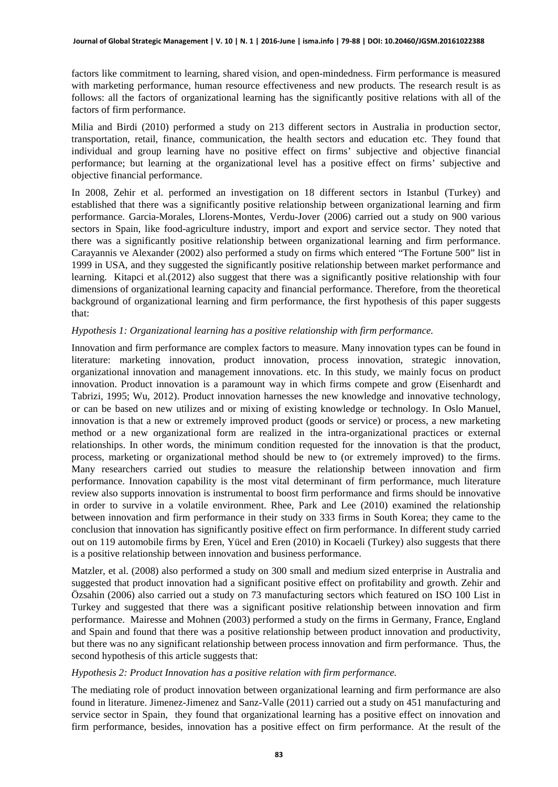factors like commitment to learning, shared vision, and open-mindedness. Firm performance is measured with marketing performance, human resource effectiveness and new products. The research result is as follows: all the factors of organizational learning has the significantly positive relations with all of the factors of firm performance.

Milia and Birdi (2010) performed a study on 213 different sectors in Australia in production sector, transportation, retail, finance, communication, the health sectors and education etc. They found that individual and group learning have no positive effect on firms' subjective and objective financial performance; but learning at the organizational level has a positive effect on firms' subjective and objective financial performance.

In 2008, Zehir et al. performed an investigation on 18 different sectors in Istanbul (Turkey) and established that there was a significantly positive relationship between organizational learning and firm performance. Garcia-Morales, Llorens-Montes, Verdu-Jover (2006) carried out a study on 900 various sectors in Spain, like food-agriculture industry, import and export and service sector. They noted that there was a significantly positive relationship between organizational learning and firm performance. Carayannis ve Alexander (2002) also performed a study on firms which entered "The Fortune 500" list in 1999 in USA, and they suggested the significantly positive relationship between market performance and learning. Kitapci et al.(2012) also suggest that there was a significantly positive relationship with four dimensions of organizational learning capacity and financial performance. Therefore, from the theoretical background of organizational learning and firm performance, the first hypothesis of this paper suggests that:

#### *Hypothesis 1: Organizational learning has a positive relationship with firm performance.*

Innovation and firm performance are complex factors to measure. Many innovation types can be found in literature: marketing innovation, product innovation, process innovation, strategic innovation, organizational innovation and management innovations. etc. In this study, we mainly focus on product innovation. Product innovation is a paramount way in which firms compete and grow (Eisenhardt and Tabrizi, 1995; Wu, 2012). Product innovation harnesses the new knowledge and innovative technology, or can be based on new utilizes and or mixing of existing knowledge or technology. In Oslo Manuel, innovation is that a new or extremely improved product (goods or service) or process, a new marketing method or a new organizational form are realized in the intra-organizational practices or external relationships. In other words, the minimum condition requested for the innovation is that the product, process, marketing or organizational method should be new to (or extremely improved) to the firms. Many researchers carried out studies to measure the relationship between innovation and firm performance. Innovation capability is the most vital determinant of firm performance, much literature review also supports innovation is instrumental to boost firm performance and firms should be innovative in order to survive in a volatile environment. Rhee, Park and Lee (2010) examined the relationship between innovation and firm performance in their study on 333 firms in South Korea; they came to the conclusion that innovation has significantly positive effect on firm performance. In different study carried out on 119 automobile firms by Eren, Yücel and Eren (2010) in Kocaeli (Turkey) also suggests that there is a positive relationship between innovation and business performance.

Matzler, et al. (2008) also performed a study on 300 small and medium sized enterprise in Australia and suggested that product innovation had a significant positive effect on profitability and growth. Zehir and Özsahin (2006) also carried out a study on 73 manufacturing sectors which featured on ISO 100 List in Turkey and suggested that there was a significant positive relationship between innovation and firm performance. Mairesse and Mohnen (2003) performed a study on the firms in Germany, France, England and Spain and found that there was a positive relationship between product innovation and productivity, but there was no any significant relationship between process innovation and firm performance. Thus, the second hypothesis of this article suggests that:

#### *Hypothesis 2: Product Innovation has a positive relation with firm performance.*

The mediating role of product innovation between organizational learning and firm performance are also found in literature. Jimenez-Jimenez and Sanz-Valle (2011) carried out a study on 451 manufacturing and service sector in Spain, they found that organizational learning has a positive effect on innovation and firm performance, besides, innovation has a positive effect on firm performance. At the result of the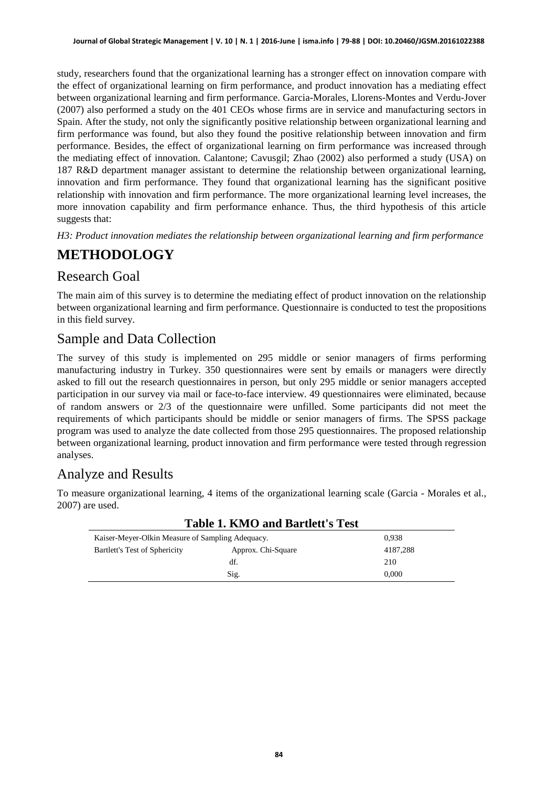study, researchers found that the organizational learning has a stronger effect on innovation compare with the effect of organizational learning on firm performance, and product innovation has a mediating effect between organizational learning and firm performance. Garcia-Morales, Llorens-Montes and Verdu-Jover (2007) also performed a study on the 401 CEOs whose firms are in service and manufacturing sectors in Spain. After the study, not only the significantly positive relationship between organizational learning and firm performance was found, but also they found the positive relationship between innovation and firm performance. Besides, the effect of organizational learning on firm performance was increased through the mediating effect of innovation. Calantone; Cavusgil; Zhao (2002) also performed a study (USA) on 187 R&D department manager assistant to determine the relationship between organizational learning, innovation and firm performance. They found that organizational learning has the significant positive relationship with innovation and firm performance. The more organizational learning level increases, the more innovation capability and firm performance enhance. Thus, the third hypothesis of this article suggests that:

*H3: Product innovation mediates the relationship between organizational learning and firm performance*

# **METHODOLOGY**

### Research Goal

The main aim of this survey is to determine the mediating effect of product innovation on the relationship between organizational learning and firm performance. Questionnaire is conducted to test the propositions in this field survey.

### Sample and Data Collection

The survey of this study is implemented on 295 middle or senior managers of firms performing manufacturing industry in Turkey. 350 questionnaires were sent by emails or managers were directly asked to fill out the research questionnaires in person, but only 295 middle or senior managers accepted participation in our survey via mail or face-to-face interview. 49 questionnaires were eliminated, because of random answers or 2/3 of the questionnaire were unfilled. Some participants did not meet the requirements of which participants should be middle or senior managers of firms. The SPSS package program was used to analyze the date collected from those 295 questionnaires. The proposed relationship between organizational learning, product innovation and firm performance were tested through regression analyses.

# Analyze and Results

To measure organizational learning, 4 items of the organizational learning scale (Garcia - Morales et al., 2007) are used.

| Table 1. KNIO and Bartiett's Test                |          |  |  |  |
|--------------------------------------------------|----------|--|--|--|
| Kaiser-Meyer-Olkin Measure of Sampling Adequacy. |          |  |  |  |
| Approx. Chi-Square                               | 4187,288 |  |  |  |
| df.                                              | 210      |  |  |  |
| Sig.                                             | 0.000    |  |  |  |
|                                                  |          |  |  |  |

# **Table 1. KMO and Bartlett's Test**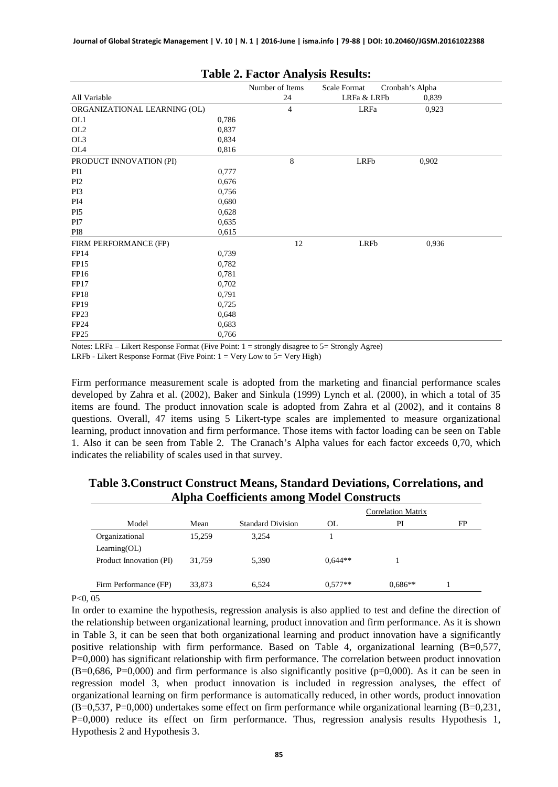| Number of Items<br>Scale Format<br>Cronbah's Alpha |       |                |             |       |  |
|----------------------------------------------------|-------|----------------|-------------|-------|--|
| All Variable                                       |       | 24             | LRFa & LRFb | 0,839 |  |
| ORGANIZATIONAL LEARNING (OL)                       |       | $\overline{4}$ | LRFa        | 0,923 |  |
| OL1                                                | 0,786 |                |             |       |  |
| OL <sub>2</sub>                                    | 0,837 |                |             |       |  |
| OL3                                                | 0,834 |                |             |       |  |
| OL4                                                | 0,816 |                |             |       |  |
| PRODUCT INNOVATION (PI)                            |       | 8              | LRFb        | 0,902 |  |
| PI1                                                | 0,777 |                |             |       |  |
| PI <sub>2</sub>                                    | 0,676 |                |             |       |  |
| PI3                                                | 0,756 |                |             |       |  |
| PI4                                                | 0,680 |                |             |       |  |
| PI <sub>5</sub>                                    | 0,628 |                |             |       |  |
| PI7                                                | 0,635 |                |             |       |  |
| PI8                                                | 0,615 |                |             |       |  |
| FIRM PERFORMANCE (FP)                              |       | 12             | LRFb        | 0,936 |  |
| FP14                                               | 0,739 |                |             |       |  |
| FP15                                               | 0,782 |                |             |       |  |
| FP16                                               | 0,781 |                |             |       |  |
| <b>FP17</b>                                        | 0,702 |                |             |       |  |
| FP18                                               | 0,791 |                |             |       |  |
| FP19                                               | 0,725 |                |             |       |  |
| FP <sub>23</sub>                                   | 0,648 |                |             |       |  |
| FP <sub>24</sub>                                   | 0,683 |                |             |       |  |
| FP <sub>25</sub>                                   | 0,766 |                |             |       |  |

#### **Table 2. Factor Analysis Results:**

Notes: LRFa – Likert Response Format (Five Point: 1 = strongly disagree to 5= Strongly Agree)

LRFb - Likert Response Format (Five Point:  $1 = \text{Very}$  Low to  $5 = \text{Very}$  High)

Firm performance measurement scale is adopted from the marketing and financial performance scales developed by Zahra et al. (2002), Baker and Sinkula (1999) Lynch et al. (2000), in which a total of 35 items are found. The product innovation scale is adopted from Zahra et al (2002), and it contains 8 questions. Overall, 47 items using 5 Likert-type scales are implemented to measure organizational learning, product innovation and firm performance. Those items with factor loading can be seen on Table 1. Also it can be seen from Table 2. The Cranach's Alpha values for each factor exceeds 0,70, which indicates the reliability of scales used in that survey.

|                         |        |                          | <b>Correlation Matrix</b> |           |    |
|-------------------------|--------|--------------------------|---------------------------|-----------|----|
| Model                   | Mean   | <b>Standard Division</b> | OL.                       | PI        | FP |
| Organizational          | 15,259 | 3,254                    |                           |           |    |
| Learning(OL)            |        |                          |                           |           |    |
| Product Innovation (PI) | 31.759 | 5,390                    | $0.644**$                 |           |    |
|                         |        |                          |                           |           |    |
| Firm Performance (FP)   | 33,873 | 6.524                    | $0.577**$                 | $0.686**$ |    |

#### **Table 3.Construct Construct Means, Standard Deviations, Correlations, and Alpha Coefficients among Model Constructs**

 $P<0$ , 05

In order to examine the hypothesis, regression analysis is also applied to test and define the direction of the relationship between organizational learning, product innovation and firm performance. As it is shown in Table 3, it can be seen that both organizational learning and product innovation have a significantly positive relationship with firm performance. Based on Table 4, organizational learning (B=0,577, P=0,000) has significant relationship with firm performance. The correlation between product innovation  $(B=0.686, P=0.000)$  and firm performance is also significantly positive  $(p=0.000)$ . As it can be seen in regression model 3, when product innovation is included in regression analyses, the effect of organizational learning on firm performance is automatically reduced, in other words, product innovation (B=0,537, P=0,000) undertakes some effect on firm performance while organizational learning (B=0,231, P=0,000) reduce its effect on firm performance. Thus, regression analysis results Hypothesis 1, Hypothesis 2 and Hypothesis 3.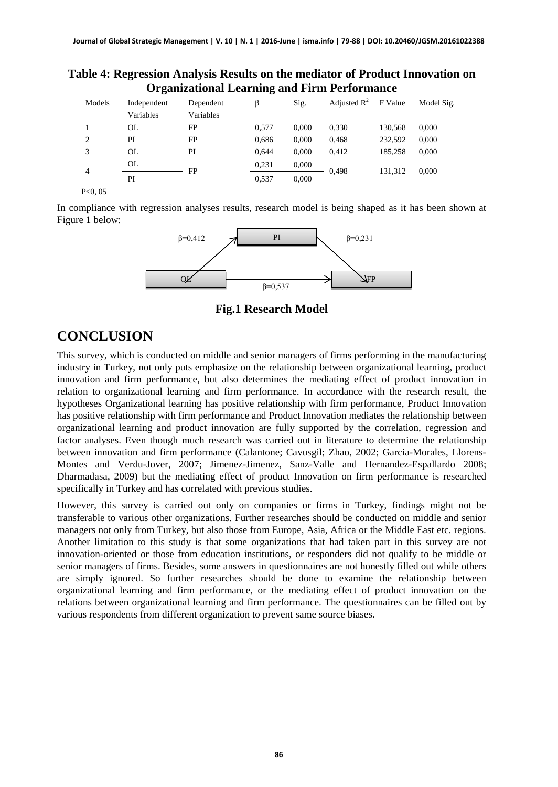|                | Organizational Learning and Firm Performance |           |       |       |                         |         |            |
|----------------|----------------------------------------------|-----------|-------|-------|-------------------------|---------|------------|
| Models         | Independent                                  | Dependent | ß     | Sig.  | Adjusted $\mathbb{R}^2$ | F Value | Model Sig. |
|                | Variables                                    | Variables |       |       |                         |         |            |
|                | OL                                           | FP        | 0.577 | 0.000 | 0,330                   | 130.568 | 0.000      |
| $\overline{c}$ | PI                                           | FP        | 0,686 | 0,000 | 0,468                   | 232.592 | 0,000      |
| 3              | OL                                           | PI        | 0.644 | 0.000 | 0.412                   | 185.258 | 0.000      |
| 4              | OL                                           | FP        | 0.231 | 0,000 | 0.498                   | 131.312 | 0.000      |
|                | PI                                           |           | 0.537 | 0.000 |                         |         |            |

**Table 4: Regression Analysis Results on the mediator of Product Innovation on Organizational Learning and Firm Performance** 

P<0, 05

In compliance with regression analyses results, research model is being shaped as it has been shown at Figure 1 below:



**Fig.1 Research Model**

### **CONCLUSION**

This survey, which is conducted on middle and senior managers of firms performing in the manufacturing industry in Turkey, not only puts emphasize on the relationship between organizational learning, product innovation and firm performance, but also determines the mediating effect of product innovation in relation to organizational learning and firm performance. In accordance with the research result, the hypotheses Organizational learning has positive relationship with firm performance, Product Innovation has positive relationship with firm performance and Product Innovation mediates the relationship between organizational learning and product innovation are fully supported by the correlation, regression and factor analyses. Even though much research was carried out in literature to determine the relationship between innovation and firm performance (Calantone; Cavusgil; Zhao, 2002; Garcia-Morales, Llorens-Montes and Verdu-Jover, 2007; Jimenez-Jimenez, Sanz-Valle and Hernandez-Espallardo 2008; Dharmadasa, 2009) but the mediating effect of product Innovation on firm performance is researched specifically in Turkey and has correlated with previous studies.

However, this survey is carried out only on companies or firms in Turkey, findings might not be transferable to various other organizations. Further researches should be conducted on middle and senior managers not only from Turkey, but also those from Europe, Asia, Africa or the Middle East etc. regions. Another limitation to this study is that some organizations that had taken part in this survey are not innovation-oriented or those from education institutions, or responders did not qualify to be middle or senior managers of firms. Besides, some answers in questionnaires are not honestly filled out while others are simply ignored. So further researches should be done to examine the relationship between organizational learning and firm performance, or the mediating effect of product innovation on the relations between organizational learning and firm performance. The questionnaires can be filled out by various respondents from different organization to prevent same source biases.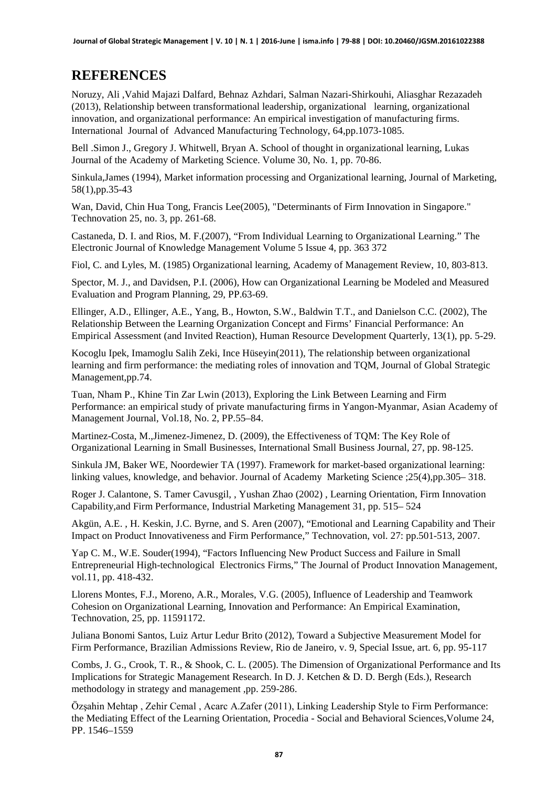### **REFERENCES**

Noruzy, Ali ,Vahid Majazi Dalfard, Behnaz Azhdari, Salman Nazari-Shirkouhi, Aliasghar Rezazadeh (2013), Relationship between transformational leadership, organizational learning, organizational innovation, and organizational performance: An empirical investigation of manufacturing firms. International Journal of Advanced Manufacturing Technology, 64,pp.1073-1085.

Bell .Simon J., Gregory J. Whitwell, Bryan A. School of thought in organizational learning, Lukas Journal of the Academy of Marketing Science. Volume 30, No. 1, pp. 70-86.

Sinkula,James (1994), Market information processing and Organizational learning, Journal of Marketing, 58(1),pp.35-43

Wan, David, Chin Hua Tong, Francis Lee(2005), "Determinants of Firm Innovation in Singapore." Technovation 25, no. 3, pp. 261-68.

Castaneda, D. I. and Rios, M. F.(2007), "From Individual Learning to Organizational Learning." The Electronic Journal of Knowledge Management Volume 5 Issue 4, pp. 363 372

Fiol, C. and Lyles, M. (1985) Organizational learning, Academy of Management Review, 10, 803-813.

Spector, M. J., and Davidsen, P.I. (2006), How can Organizational Learning be Modeled and Measured Evaluation and Program Planning, 29, PP.63-69.

Ellinger, A.D., Ellinger, A.E., Yang, B., Howton, S.W., Baldwin T.T., and Danielson C.C. (2002), The Relationship Between the Learning Organization Concept and Firms' Financial Performance: An Empirical Assessment (and Invited Reaction), Human Resource Development Quarterly, 13(1), pp. 5-29.

Kocoglu Ipek, Imamoglu Salih Zeki, Ince Hüseyin(2011), The relationship between organizational learning and firm performance: the mediating roles of innovation and TQM, Journal of Global Strategic Management,pp.74.

Tuan, Nham P., Khine Tin Zar Lwin (2013), Exploring the Link Between Learning and Firm Performance: an empirical study of private manufacturing firms in Yangon-Myanmar, Asian Academy of Management Journal, Vol.18, No. 2, PP.55–84.

Martinez-Costa, M.,Jimenez-Jimenez, D. (2009), the Effectiveness of TQM: The Key Role of Organizational Learning in Small Businesses, International Small Business Journal, 27, pp. 98-125.

Sinkula JM, Baker WE, Noordewier TA (1997). Framework for market-based organizational learning: linking values, knowledge, and behavior. Journal of Academy Marketing Science ;25(4),pp.305– 318.

Roger J. Calantone, S. Tamer Cavusgil, , Yushan Zhao (2002) , Learning Orientation, Firm Innovation Capability,and Firm Performance, Industrial Marketing Management 31, pp. 515– 524

Akgün, A.E. , H. Keskin, J.C. Byrne, and S. Aren (2007), "Emotional and Learning Capability and Their Impact on Product Innovativeness and Firm Performance," Technovation, vol. 27: pp.501-513, 2007.

Yap C. M., W.E. Souder(1994), "Factors Influencing New Product Success and Failure in Small Entrepreneurial High-technological Electronics Firms," The Journal of Product Innovation Management, vol.11, pp. 418-432.

Llorens Montes, F.J., Moreno, A.R., Morales, V.G. (2005), Influence of Leadership and Teamwork Cohesion on Organizational Learning, Innovation and Performance: An Empirical Examination, Technovation, 25, pp. 11591172.

Juliana Bonomi Santos, Luiz Artur Ledur Brito (2012), Toward a Subjective Measurement Model for Firm Performance, Brazilian Admissions Review, Rio de Janeiro, v. 9, Special Issue, art. 6, pp. 95-117

Combs, J. G., Crook, T. R., & Shook, C. L. (2005). The Dimension of Organizational Performance and Its Implications for Strategic Management Research. In D. J. Ketchen & D. D. Bergh (Eds.), Research methodology in strategy and management ,pp. 259-286.

Özşahin Mehtap , Zehir Cemal , Acarc A.Zafer (2011), Linking Leadership Style to Firm Performance: the Mediating Effect of the Learning Orientation, [Procedia - Social and](http://www.sciencedirect.com/science/journal/18770428) Behavioral Sciences[,Volume 24,](http://www.sciencedirect.com/science/journal/18770428/24/supp/C) PP. 1546–1559